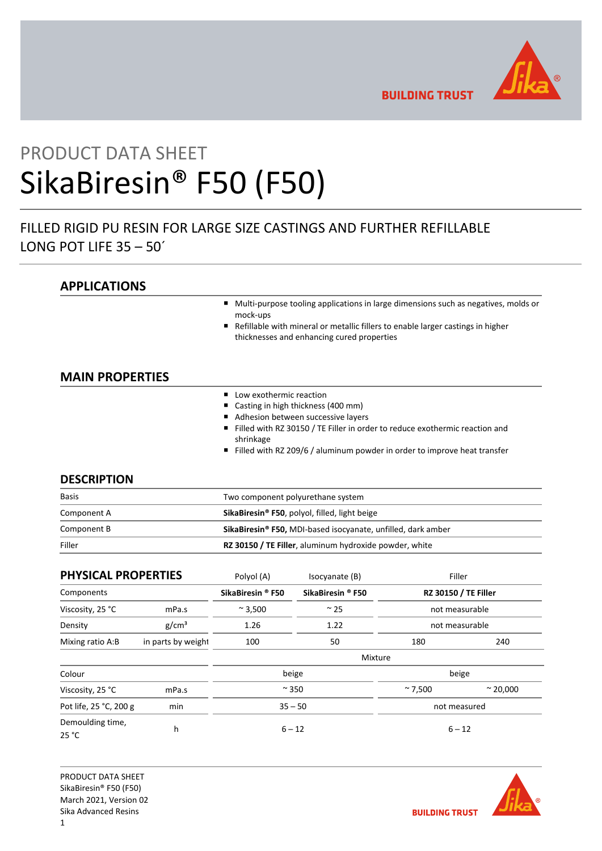

**BUILDING TRUST** 

# PRODUCT DATA SHEET SikaBiresin® F50 (F50)

# FILLED RIGID PU RESIN FOR LARGE SIZE CASTINGS AND FURTHER REFILLABLE LONG POT LIFE 35 – 50´

# **APPLICATIONS**

- Multi-purpose tooling applications in large dimensions such as negatives, molds or mock-ups
- Refillable with mineral or metallic fillers to enable larger castings in higher thicknesses and enhancing cured properties

# **MAIN PROPERTIES**

- Low exothermic reaction
- Casting in high thickness (400 mm)
- Adhesion between successive layers
- Filled with RZ 30150 / TE Filler in order to reduce exothermic reaction and shrinkage
- Filled with RZ 209/6 / aluminum powder in order to improve heat transfer

# **DESCRIPTION**

| <b>Basis</b> | Two component polyurethane system                                        |  |
|--------------|--------------------------------------------------------------------------|--|
| Component A  | SikaBiresin <sup>®</sup> F50, polyol, filled, light beige                |  |
| Component B  | SikaBiresin <sup>®</sup> F50, MDI-based isocyanate, unfilled, dark amber |  |
| Filler       | RZ 30150 / TE Filler, aluminum hydroxide powder, white                   |  |

| <b>PHYSICAL PROPERTIES</b> |                    | Polyol (A)<br>Isocyanate (B) |                                                             | Filler         |                    |
|----------------------------|--------------------|------------------------------|-------------------------------------------------------------|----------------|--------------------|
| Components                 |                    | SikaBiresin <sup>®</sup> F50 | <b>RZ 30150 / TE Filler</b><br>SikaBiresin <sup>®</sup> F50 |                |                    |
| Viscosity, 25 °C           | mPa.s              | $~^{\sim}$ 3,500             | $~\sim$ 25                                                  | not measurable |                    |
| Density                    | g/cm <sup>3</sup>  | 1.26                         | 1.22                                                        | not measurable |                    |
| Mixing ratio A:B           | in parts by weight | 100                          | 50                                                          | 180            | 240                |
|                            |                    |                              | Mixture                                                     |                |                    |
| Colour                     |                    | beige                        |                                                             | beige          |                    |
| Viscosity, 25 °C           | mPa.s              | $~\sim$ 350                  |                                                             | $~\sim$ 7,500  | $~^{\circ}$ 20,000 |
| Pot life, 25 °C, 200 g     | min                | $35 - 50$                    |                                                             | not measured   |                    |
| Demoulding time,<br>25 °C  | h                  | $6 - 12$                     |                                                             | $6 - 12$       |                    |

PRODUCT DATA SHEET SikaBiresin® F50 (F50) March 2021, Version 02 Sika Advanced Resins

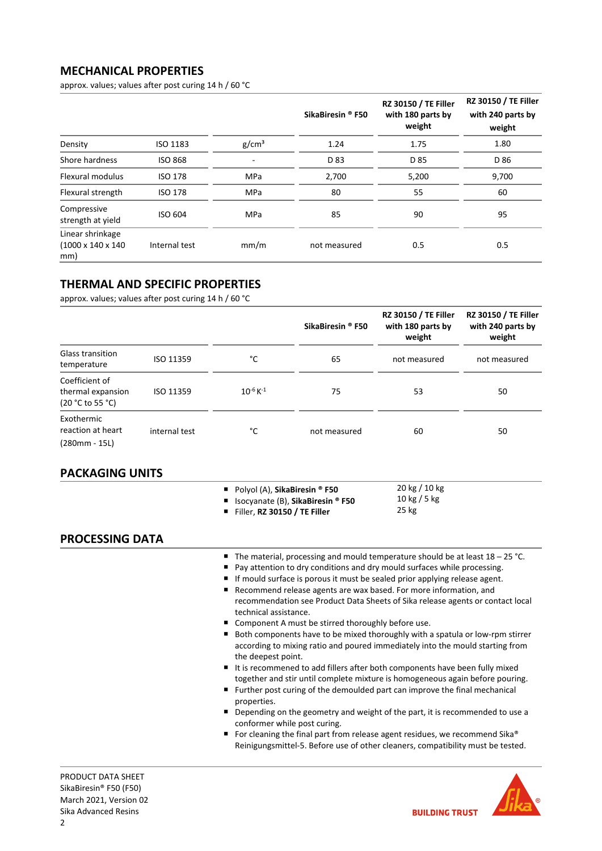# **MECHANICAL PROPERTIES**

approx. values; values after post curing 14 h / 60 °C

|                                                           |                |                   | SikaBiresin ® F50 | <b>RZ 30150 / TE Filler</b><br>with 180 parts by<br>weight | RZ 30150 / TE Filler<br>with 240 parts by<br>weight |
|-----------------------------------------------------------|----------------|-------------------|-------------------|------------------------------------------------------------|-----------------------------------------------------|
| Density                                                   | ISO 1183       | g/cm <sup>3</sup> | 1.24              | 1.75                                                       | 1.80                                                |
| Shore hardness                                            | <b>ISO 868</b> |                   | D 83              | D 85                                                       | D 86                                                |
| <b>Flexural modulus</b>                                   | <b>ISO 178</b> | MPa               | 2,700             | 5,200                                                      | 9,700                                               |
| Flexural strength                                         | <b>ISO 178</b> | <b>MPa</b>        | 80                | 55                                                         | 60                                                  |
| Compressive<br>strength at yield                          | ISO 604        | MPa               | 85                | 90                                                         | 95                                                  |
| Linear shrinkage<br>$(1000 \times 140 \times 140)$<br>mm) | Internal test  | mm/m              | not measured      | 0.5                                                        | 0.5                                                 |

# **THERMAL AND SPECIFIC PROPERTIES**

approx. values; values after post curing 14 h / 60 °C

|                                                         |               |                           | SikaBiresin ® F50 | <b>RZ 30150 / TE Filler</b><br>with 180 parts by<br>weight | <b>RZ 30150 / TE Filler</b><br>with 240 parts by<br>weight |
|---------------------------------------------------------|---------------|---------------------------|-------------------|------------------------------------------------------------|------------------------------------------------------------|
| <b>Glass transition</b><br>temperature                  | ISO 11359     | °C                        | 65                | not measured                                               | not measured                                               |
| Coefficient of<br>thermal expansion<br>(20 °C to 55 °C) | ISO 11359     | $10^{-6}$ K <sup>-1</sup> | 75                | 53                                                         | 50                                                         |
| Exothermic<br>reaction at heart<br>$(280mm - 15L)$      | internal test | °C                        | not measured      | 60                                                         | 50                                                         |

# **PACKAGING UNITS**

■ Polyol (A), **SikaBiresin** <sup>®</sup> **F50** 

■ Isocyanate (B), **SikaBiresin** <sup>®</sup> **F50** Filler, **RZ 30150 / TE Filler**

20 kg / 10 kg 10 kg / 5 kg 25 kg

## **PROCESSING DATA**

- The material, processing and mould temperature should be at least 18 25 °C.
- Pay attention to dry conditions and dry mould surfaces while processing.
- If mould surface is porous it must be sealed prior applying release agent.
- Recommend release agents are wax based. For more information, and recommendation see Product Data Sheets of Sika release agents or contact local technical assistance.
- Component A must be stirred thoroughly before use.
- Both components have to be mixed thoroughly with a spatula or low-rpm stirrer according to mixing ratio and poured immediately into the mould starting from the deepest point.
- It is recommened to add fillers after both components have been fully mixed together and stir until complete mixture is homogeneous again before pouring.
- Further post curing of the demoulded part can improve the final mechanical properties.
- Depending on the geometry and weight of the part, it is recommended to use a conformer while post curing.
- For cleaning the final part from release agent residues, we recommend Sika® Reinigungsmittel-5. Before use of other cleaners, compatibility must be tested.

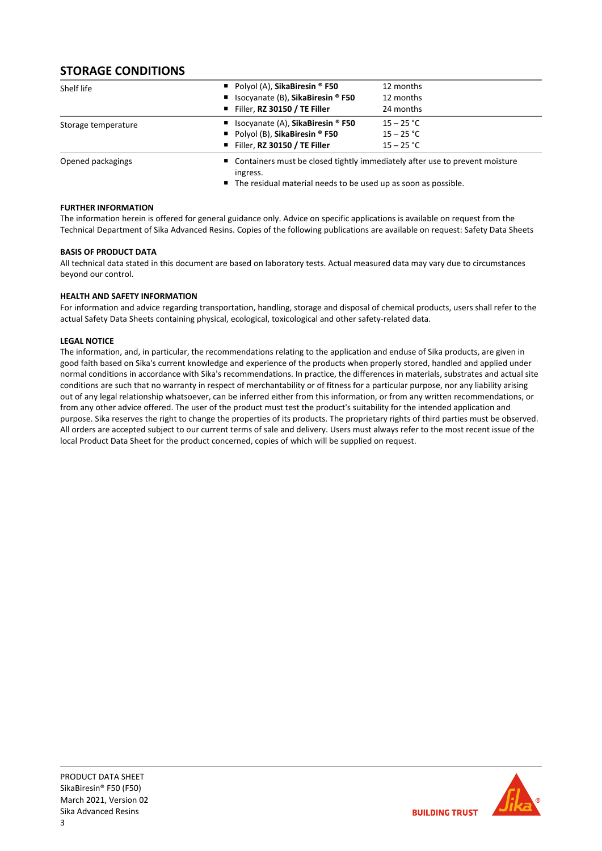# **STORAGE CONDITIONS**

| Shelf life          | Polyol (A), SikaBiresin $\degree$ F50     | 12 months                                                                     |  |  |
|---------------------|-------------------------------------------|-------------------------------------------------------------------------------|--|--|
|                     | ■ Isocyanate (B), SikaBiresin ® F50       | 12 months                                                                     |  |  |
|                     | Filler, RZ 30150 / TE Filler              | 24 months                                                                     |  |  |
| Storage temperature | ■ Isocyanate (A), SikaBiresin ® F50       | $15 - 25 °C$                                                                  |  |  |
|                     | Polyol (B), SikaBiresin $\textdegree$ F50 | $15 - 25 °C$                                                                  |  |  |
|                     | Filler, RZ 30150 / TE Filler              | $15 - 25 °C$                                                                  |  |  |
| Opened packagings   | ingress.                                  | ■ Containers must be closed tightly immediately after use to prevent moisture |  |  |

■ The residual material needs to be used up as soon as possible.

## **FURTHER INFORMATION**

The information herein is offered for general guidance only. Advice on specific applications is available on request from the Technical Department of Sika Advanced Resins. Copies of the following publications are available on request: Safety Data Sheets

## **BASIS OF PRODUCT DATA**

All technical data stated in this document are based on laboratory tests. Actual measured data may vary due to circumstances beyond our control.

## **HEALTH AND SAFETY INFORMATION**

For information and advice regarding transportation, handling, storage and disposal of chemical products, users shall refer to the actual Safety Data Sheets containing physical, ecological, toxicological and other safety-related data.

## **LEGAL NOTICE**

The information, and, in particular, the recommendations relating to the application and enduse of Sika products, are given in good faith based on Sika's current knowledge and experience of the products when properly stored, handled and applied under normal conditions in accordance with Sika's recommendations. In practice, the differences in materials, substrates and actual site conditions are such that no warranty in respect of merchantability or of fitness for a particular purpose, nor any liability arising out of any legal relationship whatsoever, can be inferred either from this information, or from any written recommendations, or from any other advice offered. The user of the product must test the product's suitability for the intended application and purpose. Sika reserves the right to change the properties of its products. The proprietary rights of third parties must be observed. All orders are accepted subject to our current terms of sale and delivery. Users must always refer to the most recent issue of the local Product Data Sheet for the product concerned, copies of which will be supplied on request.